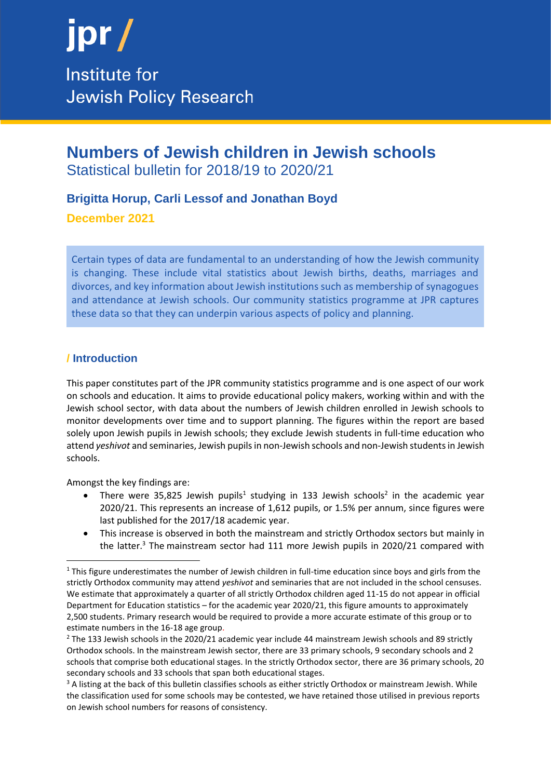

### **Numbers of Jewish children in Jewish schools** Statistical bulletin for 2018/19 to 2020/21

#### **Brigitta Horup, Carli Lessof and Jonathan Boyd**

**December 2021**

Certain types of data are fundamental to an understanding of how the Jewish community is changing. These include vital statistics about Jewish births, deaths, marriages and divorces, and key information about Jewish institutions such as membership of synagogues and attendance at Jewish schools. Our community statistics programme at JPR captures these data so that they can underpin various aspects of policy and planning.

#### **/ Introduction**

This paper constitutes part of the JPR community statistics programme and is one aspect of our work on schools and education. It aims to provide educational policy makers, working within and with the Jewish school sector, with data about the numbers of Jewish children enrolled in Jewish schools to monitor developments over time and to support planning. The figures within the report are based solely upon Jewish pupils in Jewish schools; they exclude Jewish students in full-time education who attend *yeshivot* and seminaries, Jewish pupils in non-Jewish schools and non-Jewish students in Jewish schools.

Amongst the key findings are:

- There were 35,825 Jewish pupils<sup>1</sup> studying in 133 Jewish schools<sup>2</sup> in the academic year 2020/21. This represents an increase of 1,612 pupils, or 1.5% per annum, since figures were last published for the 2017/18 academic year.
- This increase is observed in both the mainstream and strictly Orthodox sectors but mainly in the latter.<sup>3</sup> The mainstream sector had 111 more Jewish pupils in 2020/21 compared with

<sup>&</sup>lt;sup>1</sup> This figure underestimates the number of Jewish children in full-time education since boys and girls from the strictly Orthodox community may attend *yeshivot* and seminaries that are not included in the school censuses. We estimate that approximately a quarter of all strictly Orthodox children aged 11-15 do not appear in official Department for Education statistics – for the academic year 2020/21, this figure amounts to approximately 2,500 students. Primary research would be required to provide a more accurate estimate of this group or to estimate numbers in the 16-18 age group.

<sup>&</sup>lt;sup>2</sup> The 133 Jewish schools in the 2020/21 academic year include 44 mainstream Jewish schools and 89 strictly Orthodox schools. In the mainstream Jewish sector, there are 33 primary schools, 9 secondary schools and 2 schools that comprise both educational stages. In the strictly Orthodox sector, there are 36 primary schools, 20 secondary schools and 33 schools that span both educational stages.

<sup>&</sup>lt;sup>3</sup> A listing at the back of this bulletin classifies schools as either strictly Orthodox or mainstream Jewish. While the classification used for some schools may be contested, we have retained those utilised in previous reports on Jewish school numbers for reasons of consistency.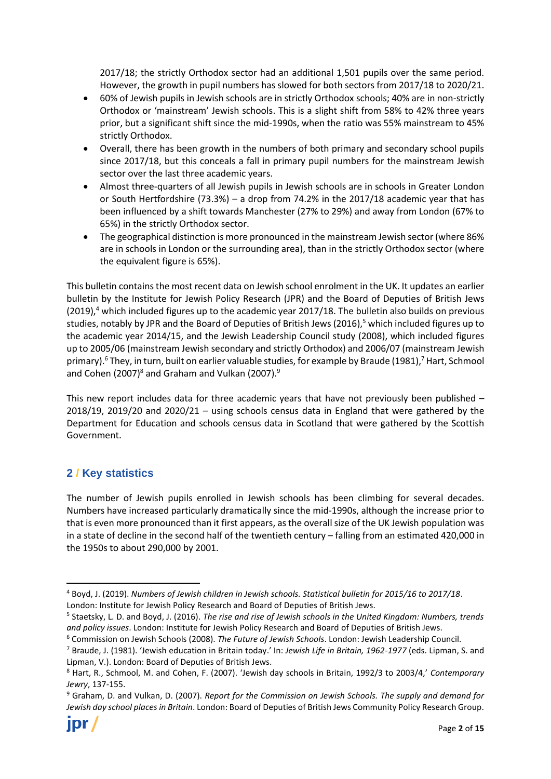2017/18; the strictly Orthodox sector had an additional 1,501 pupils over the same period. However, the growth in pupil numbers has slowed for both sectors from 2017/18 to 2020/21.

- 60% of Jewish pupils in Jewish schools are in strictly Orthodox schools; 40% are in non-strictly Orthodox or 'mainstream' Jewish schools. This is a slight shift from 58% to 42% three years prior, but a significant shift since the mid-1990s, when the ratio was 55% mainstream to 45% strictly Orthodox.
- Overall, there has been growth in the numbers of both primary and secondary school pupils since 2017/18, but this conceals a fall in primary pupil numbers for the mainstream Jewish sector over the last three academic years.
- Almost three-quarters of all Jewish pupils in Jewish schools are in schools in Greater London or South Hertfordshire (73.3%) – a drop from 74.2% in the 2017/18 academic year that has been influenced by a shift towards Manchester (27% to 29%) and away from London (67% to 65%) in the strictly Orthodox sector.
- The geographical distinction is more pronounced in the mainstream Jewish sector (where 86% are in schools in London or the surrounding area), than in the strictly Orthodox sector (where the equivalent figure is 65%).

This bulletin contains the most recent data on Jewish school enrolment in the UK. It updates an earlier bulletin by the Institute for Jewish Policy Research (JPR) and the Board of Deputies of British Jews  $(2019)$ ,<sup>4</sup> which included figures up to the academic year  $2017/18$ . The bulletin also builds on previous studies, notably by JPR and the Board of Deputies of British Jews (2016),<sup>5</sup> which included figures up to the academic year 2014/15, and the Jewish Leadership Council study (2008), which included figures up to 2005/06 (mainstream Jewish secondary and strictly Orthodox) and 2006/07 (mainstream Jewish primary).<sup>6</sup> They, in turn, built on earlier valuable studies, for example by Braude (1981),<sup>7</sup> Hart, Schmool and Cohen (2007) $8$  and Graham and Vulkan (2007). $9$ 

This new report includes data for three academic years that have not previously been published – 2018/19, 2019/20 and 2020/21 – using schools census data in England that were gathered by the Department for Education and schools census data in Scotland that were gathered by the Scottish Government.

#### **2 / Key statistics**

The number of Jewish pupils enrolled in Jewish schools has been climbing for several decades. Numbers have increased particularly dramatically since the mid-1990s, although the increase prior to that is even more pronounced than it first appears, as the overall size of the UK Jewish population was in a state of decline in the second half of the twentieth century – falling from an estimated 420,000 in the 1950s to about 290,000 by 2001.

<sup>6</sup> Commission on Jewish Schools (2008). *The Future of Jewish Schools*. London: Jewish Leadership Council.

<sup>4</sup> Boyd, J. (2019). *Numbers of Jewish children in Jewish schools. Statistical bulletin for 2015/16 to 2017/18*. London: Institute for Jewish Policy Research and Board of Deputies of British Jews.

<sup>5</sup> Staetsky, L. D. and Boyd, J. (2016). *The rise and rise of Jewish schools in the United Kingdom: Numbers, trends and policy issues*. London: Institute for Jewish Policy Research and Board of Deputies of British Jews.

<sup>7</sup> Braude, J. (1981). 'Jewish education in Britain today.' In: *Jewish Life in Britain, 1962-1977* (eds. Lipman, S. and Lipman, V.). London: Board of Deputies of British Jews.

<sup>8</sup> Hart, R., Schmool, M. and Cohen, F. (2007). 'Jewish day schools in Britain, 1992/3 to 2003/4,' *Contemporary Jewry*, 137-155.

<sup>9</sup> Graham, D. and Vulkan, D. (2007). *Report for the Commission on Jewish Schools. The supply and demand for Jewish day school places in Britain*. London: Board of Deputies of British Jews Community Policy Research Group.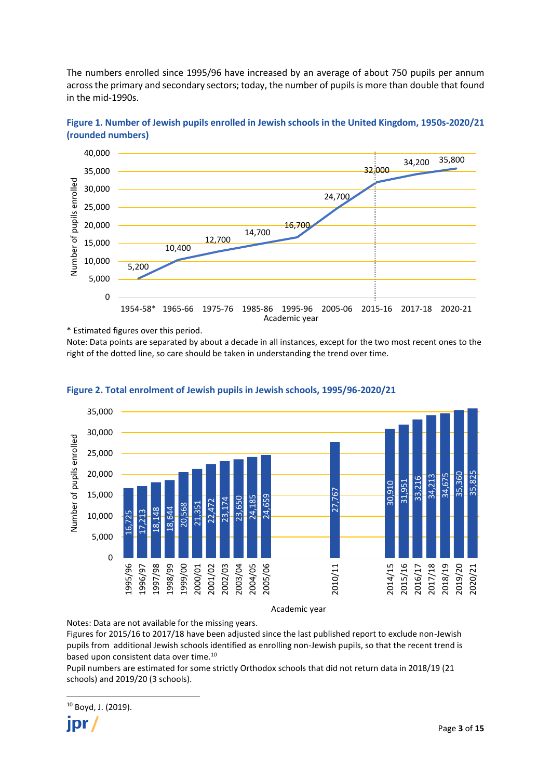The numbers enrolled since 1995/96 have increased by an average of about 750 pupils per annum across the primary and secondary sectors; today, the number of pupils is more than double that found in the mid-1990s.



**Figure 1. Number of Jewish pupils enrolled in Jewish schools in the United Kingdom, 1950s-2020/21 (rounded numbers)**

\* Estimated figures over this period.

Note: Data points are separated by about a decade in all instances, except for the two most recent ones to the right of the dotted line, so care should be taken in understanding the trend over time.



**Figure 2. Total enrolment of Jewish pupils in Jewish schools, 1995/96-2020/21**

Academic year

Notes: Data are not available for the missing years.

Figures for 2015/16 to 2017/18 have been adjusted since the last published report to exclude non-Jewish pupils from additional Jewish schools identified as enrolling non-Jewish pupils, so that the recent trend is based upon consistent data over time.<sup>10</sup>

Pupil numbers are estimated for some strictly Orthodox schools that did not return data in 2018/19 (21 schools) and 2019/20 (3 schools).

<sup>10</sup> Boyd, J. (2019). **IDr**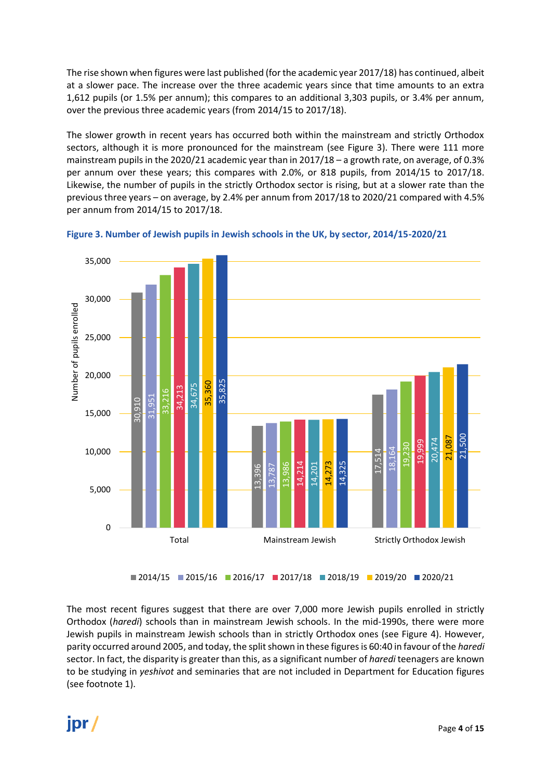The rise shown when figures were last published (for the academic year 2017/18) has continued, albeit at a slower pace. The increase over the three academic years since that time amounts to an extra 1,612 pupils (or 1.5% per annum); this compares to an additional 3,303 pupils, or 3.4% per annum, over the previous three academic years (from 2014/15 to 2017/18).

The slower growth in recent years has occurred both within the mainstream and strictly Orthodox sectors, although it is more pronounced for the mainstream (see Figure 3). There were 111 more mainstream pupils in the 2020/21 academic year than in 2017/18 – a growth rate, on average, of 0.3% per annum over these years; this compares with 2.0%, or 818 pupils, from 2014/15 to 2017/18. Likewise, the number of pupils in the strictly Orthodox sector is rising, but at a slower rate than the previous three years – on average, by 2.4% per annum from 2017/18 to 2020/21 compared with 4.5% per annum from 2014/15 to 2017/18.



**Figure 3. Number of Jewish pupils in Jewish schools in the UK, by sector, 2014/15-2020/21**

The most recent figures suggest that there are over 7,000 more Jewish pupils enrolled in strictly Orthodox (*haredi*) schools than in mainstream Jewish schools. In the mid-1990s, there were more Jewish pupils in mainstream Jewish schools than in strictly Orthodox ones (see Figure 4). However, parity occurred around 2005, and today, the split shown in these figures is 60:40 in favour of the *haredi* sector. In fact, the disparity is greater than this, as a significant number of *haredi* teenagers are known to be studying in *yeshivot* and seminaries that are not included in Department for Education figures

## jpr/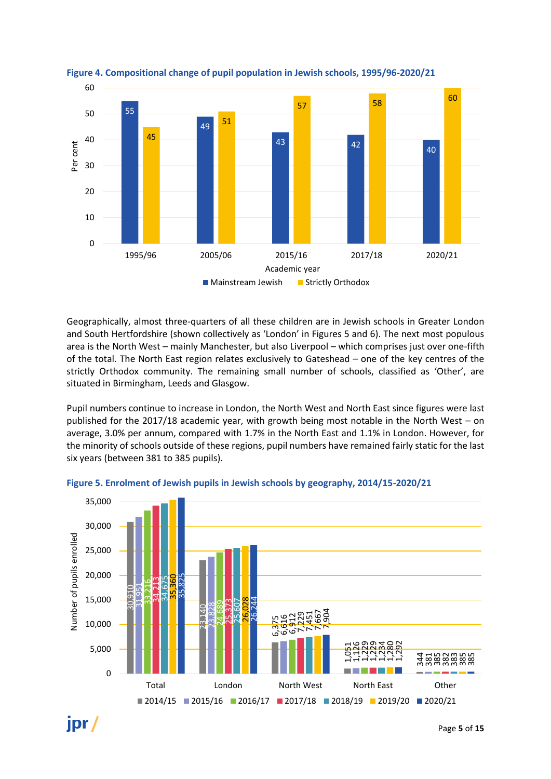

#### **Figure 4. Compositional change of pupil population in Jewish schools, 1995/96-2020/21**

Geographically, almost three-quarters of all these children are in Jewish schools in Greater London and South Hertfordshire (shown collectively as 'London' in Figures 5 and 6). The next most populous area is the North West – mainly Manchester, but also Liverpool – which comprises just over one-fifth of the total. The North East region relates exclusively to Gateshead – one of the key centres of the strictly Orthodox community. The remaining small number of schools, classified as 'Other', are situated in Birmingham, Leeds and Glasgow.

Pupil numbers continue to increase in London, the North West and North East since figures were last published for the 2017/18 academic year, with growth being most notable in the North West – on average, 3.0% per annum, compared with 1.7% in the North East and 1.1% in London. However, for the minority of schools outside of these regions, pupil numbers have remained fairly static for the last six years (between 381 to 385 pupils).



**Figure 5. Enrolment of Jewish pupils in Jewish schools by geography, 2014/15-2020/21**

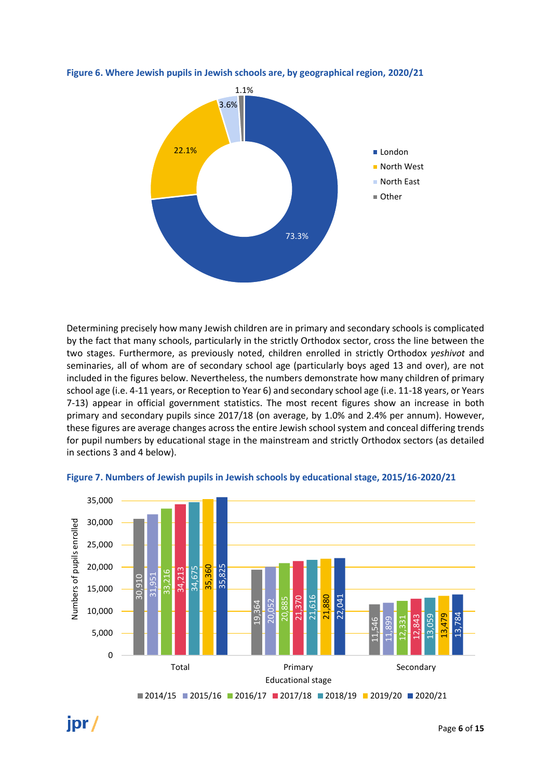

**Figure 6. Where Jewish pupils in Jewish schools are, by geographical region, 2020/21**

Determining precisely how many Jewish children are in primary and secondary schools is complicated by the fact that many schools, particularly in the strictly Orthodox sector, cross the line between the two stages. Furthermore, as previously noted, children enrolled in strictly Orthodox *yeshivot* and seminaries, all of whom are of secondary school age (particularly boys aged 13 and over), are not included in the figures below. Nevertheless, the numbers demonstrate how many children of primary school age (i.e. 4-11 years, or Reception to Year 6) and secondary school age (i.e. 11-18 years, or Years 7-13) appear in official government statistics. The most recent figures show an increase in both primary and secondary pupils since 2017/18 (on average, by 1.0% and 2.4% per annum). However, these figures are average changes across the entire Jewish school system and conceal differing trends for pupil numbers by educational stage in the mainstream and strictly Orthodox sectors (as detailed in sections 3 and 4 below).



**Figure 7. Numbers of Jewish pupils in Jewish schools by educational stage, 2015/16-2020/21**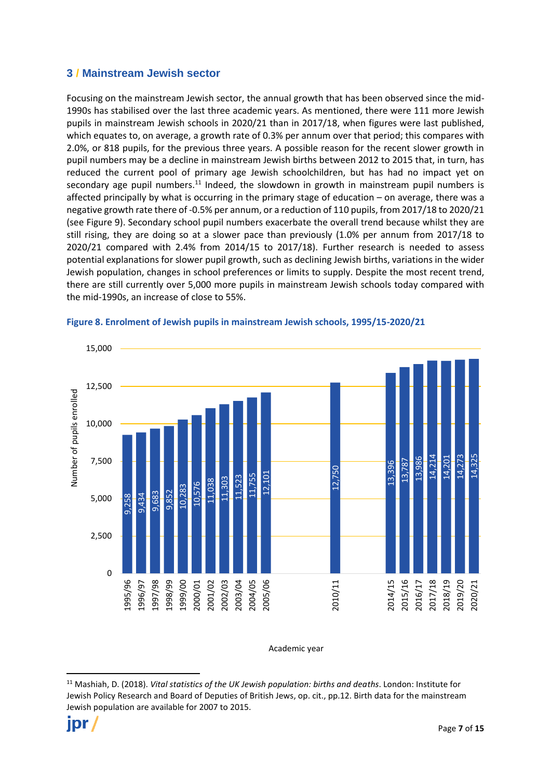#### **3 / Mainstream Jewish sector**

Focusing on the mainstream Jewish sector, the annual growth that has been observed since the mid-1990s has stabilised over the last three academic years. As mentioned, there were 111 more Jewish pupils in mainstream Jewish schools in 2020/21 than in 2017/18, when figures were last published, which equates to, on average, a growth rate of 0.3% per annum over that period; this compares with 2.0%, or 818 pupils, for the previous three years. A possible reason for the recent slower growth in pupil numbers may be a decline in mainstream Jewish births between 2012 to 2015 that, in turn, has reduced the current pool of primary age Jewish schoolchildren, but has had no impact yet on secondary age pupil numbers.<sup>11</sup> Indeed, the slowdown in growth in mainstream pupil numbers is affected principally by what is occurring in the primary stage of education – on average, there was a negative growth rate there of -0.5% per annum, or a reduction of 110 pupils, from 2017/18 to 2020/21 (see Figure 9). Secondary school pupil numbers exacerbate the overall trend because whilst they are still rising, they are doing so at a slower pace than previously (1.0% per annum from 2017/18 to 2020/21 compared with 2.4% from 2014/15 to 2017/18). Further research is needed to assess potential explanations for slower pupil growth, such as declining Jewish births, variations in the wider Jewish population, changes in school preferences or limits to supply. Despite the most recent trend, there are still currently over 5,000 more pupils in mainstream Jewish schools today compared with the mid-1990s, an increase of close to 55%.



#### **Figure 8. Enrolment of Jewish pupils in mainstream Jewish schools, 1995/15-2020/21**

Academic year

<sup>11</sup> Mashiah, D. (2018). *Vital statistics of the UK Jewish population: births and deaths*. London: Institute for Jewish Policy Research and Board of Deputies of British Jews, op. cit., pp.12. Birth data for the mainstream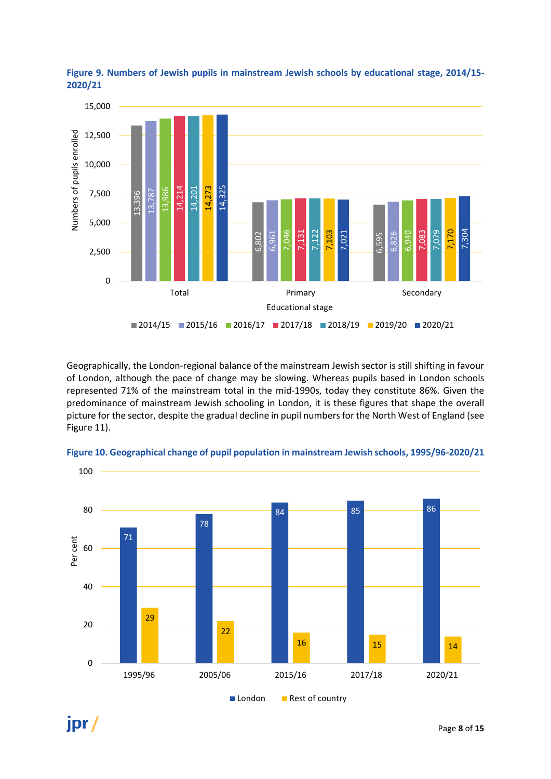

**Figure 9. Numbers of Jewish pupils in mainstream Jewish schools by educational stage, 2014/15- 2020/21**

Geographically, the London-regional balance of the mainstream Jewish sector is still shifting in favour of London, although the pace of change may be slowing. Whereas pupils based in London schools represented 71% of the mainstream total in the mid-1990s, today they constitute 86%. Given the predominance of mainstream Jewish schooling in London, it is these figures that shape the overall picture for the sector, despite the gradual decline in pupil numbers for the North West of England (see Figure 11).

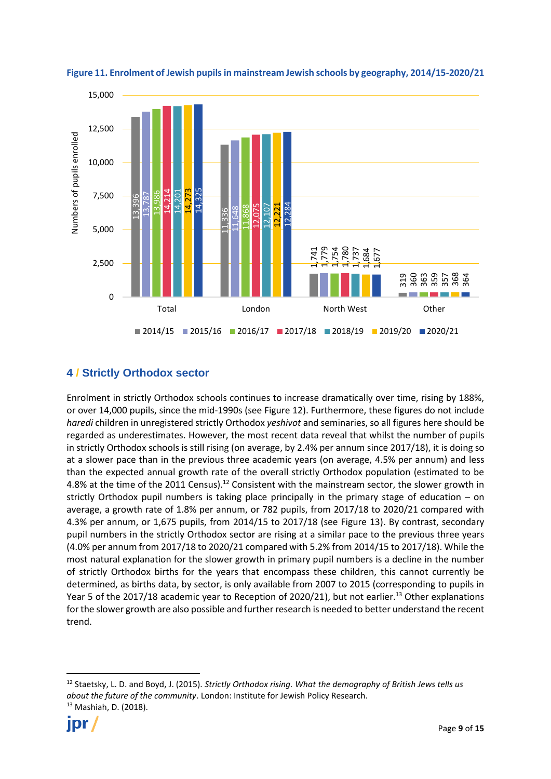

**Figure 11. Enrolment of Jewish pupils in mainstream Jewish schools by geography, 2014/15-2020/21**

#### **4 / Strictly Orthodox sector**

Enrolment in strictly Orthodox schools continues to increase dramatically over time, rising by 188%, or over 14,000 pupils, since the mid-1990s (see Figure 12). Furthermore, these figures do not include *haredi* children in unregistered strictly Orthodox *yeshivot* and seminaries, so all figures here should be regarded as underestimates. However, the most recent data reveal that whilst the number of pupils in strictly Orthodox schools is still rising (on average, by 2.4% per annum since 2017/18), it is doing so at a slower pace than in the previous three academic years (on average, 4.5% per annum) and less than the expected annual growth rate of the overall strictly Orthodox population (estimated to be 4.8% at the time of the 2011 Census).<sup>12</sup> Consistent with the mainstream sector, the slower growth in strictly Orthodox pupil numbers is taking place principally in the primary stage of education – on average, a growth rate of 1.8% per annum, or 782 pupils, from 2017/18 to 2020/21 compared with 4.3% per annum, or 1,675 pupils, from 2014/15 to 2017/18 (see Figure 13). By contrast, secondary pupil numbers in the strictly Orthodox sector are rising at a similar pace to the previous three years (4.0% per annum from 2017/18 to 2020/21 compared with 5.2% from 2014/15 to 2017/18). While the most natural explanation for the slower growth in primary pupil numbers is a decline in the number of strictly Orthodox births for the years that encompass these children, this cannot currently be determined, as births data, by sector, is only available from 2007 to 2015 (corresponding to pupils in Year 5 of the 2017/18 academic year to Reception of 2020/21), but not earlier.<sup>13</sup> Other explanations for the slower growth are also possible and further research is needed to better understand the recent trend. 2,500<br>  $\frac{1}{2}$  5,000<br>  $\frac{1}{2}$  5,000<br>  $\frac{1}{2}$  5,000<br>  $\frac{1}{2}$  5,000<br>  $\frac{1}{2}$  13,3960<br>  $\frac{1}{2}$  13,3960<br>  $\frac{1}{2}$  14,000 pupi<br> *haredi* children in underly Orthodox<br>
at a slower pace the than the expected<br>
4.8% a

<sup>12</sup> Staetsky, L. D. and Boyd, J. (2015). *Strictly Orthodox rising. What the demography of British Jews tells us about the future of the community*. London: Institute for Jewish Policy Research. <sup>13</sup> Mashiah, D. (2018).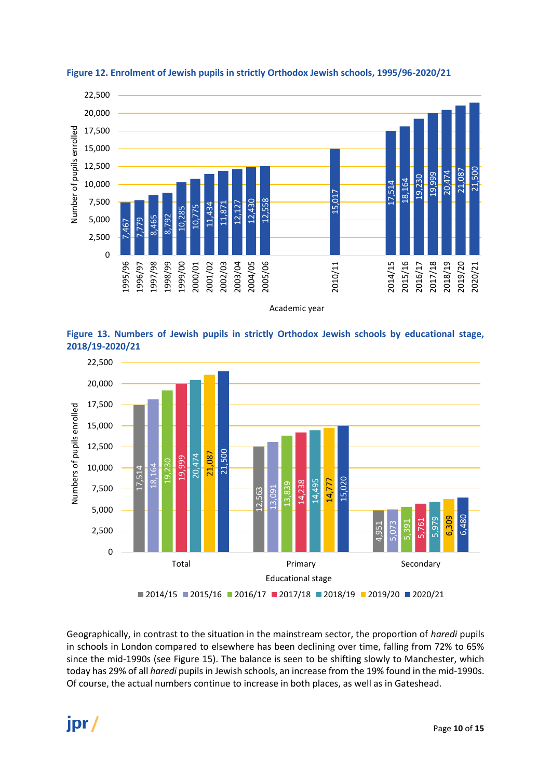



Academic year





Geographically, in contrast to the situation in the mainstream sector, the proportion of *haredi* pupils in schools in London compared to elsewhere has been declining over time, falling from 72% to 65% since the mid-1990s (see Figure 15). The balance is seen to be shifting slowly to Manchester, which today has 29% of all *haredi* pupils in Jewish schools, an increase from the 19% found in the mid-1990s.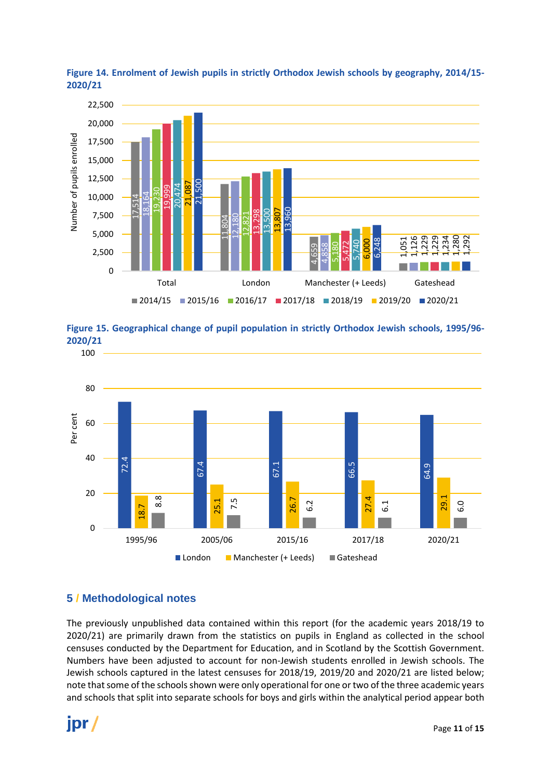







#### **5 / Methodological notes**

The previously unpublished data contained within this report (for the academic years 2018/19 to 2020/21) are primarily drawn from the statistics on pupils in England as collected in the school censuses conducted by the Department for Education, and in Scotland by the Scottish Government. Numbers have been adjusted to account for non-Jewish students enrolled in Jewish schools. The Jewish schools captured in the latest censuses for 2018/19, 2019/20 and 2020/21 are listed below; note that some of the schools shown were only operational for one or two of the three academic years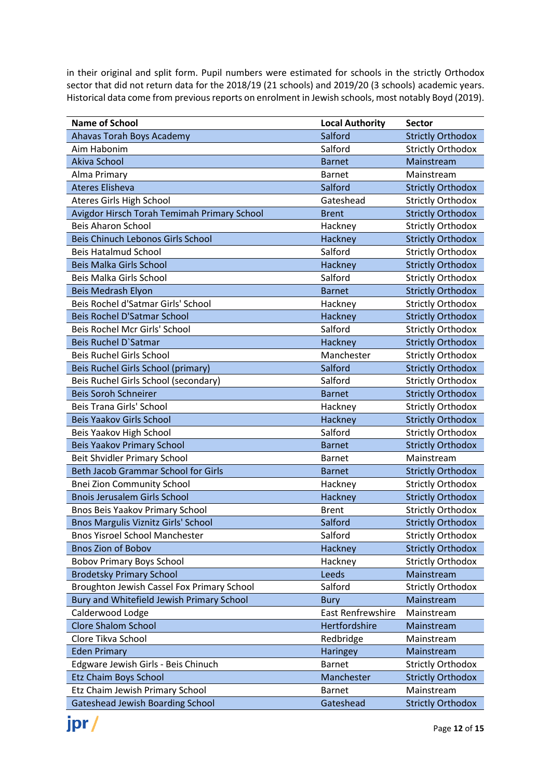in their original and split form. Pupil numbers were estimated for schools in the strictly Orthodox sector that did not return data for the 2018/19 (21 schools) and 2019/20 (3 schools) academic years. Historical data come from previous reports on enrolment in Jewish schools, most notably Boyd (2019).

| <b>Name of School</b>                       | <b>Local Authority</b> | Sector                   |
|---------------------------------------------|------------------------|--------------------------|
| Ahavas Torah Boys Academy                   | Salford                | <b>Strictly Orthodox</b> |
| Aim Habonim                                 | Salford                | <b>Strictly Orthodox</b> |
| Akiva School                                | <b>Barnet</b>          | Mainstream               |
| Alma Primary                                | <b>Barnet</b>          | Mainstream               |
| <b>Ateres Elisheva</b>                      | Salford                | <b>Strictly Orthodox</b> |
| <b>Ateres Girls High School</b>             | Gateshead              | <b>Strictly Orthodox</b> |
| Avigdor Hirsch Torah Temimah Primary School | <b>Brent</b>           | <b>Strictly Orthodox</b> |
| <b>Beis Aharon School</b>                   | Hackney                | <b>Strictly Orthodox</b> |
| Beis Chinuch Lebonos Girls School           | Hackney                | <b>Strictly Orthodox</b> |
| <b>Beis Hatalmud School</b>                 | Salford                | <b>Strictly Orthodox</b> |
| Beis Malka Girls School                     | Hackney                | <b>Strictly Orthodox</b> |
| Beis Malka Girls School                     | Salford                | <b>Strictly Orthodox</b> |
| Beis Medrash Elyon                          | <b>Barnet</b>          | <b>Strictly Orthodox</b> |
| Beis Rochel d'Satmar Girls' School          | Hackney                | <b>Strictly Orthodox</b> |
| <b>Beis Rochel D'Satmar School</b>          | Hackney                | <b>Strictly Orthodox</b> |
| Beis Rochel Mcr Girls' School               | Salford                | <b>Strictly Orthodox</b> |
| <b>Beis Ruchel D'Satmar</b>                 | Hackney                | <b>Strictly Orthodox</b> |
| <b>Beis Ruchel Girls School</b>             | Manchester             | <b>Strictly Orthodox</b> |
| Beis Ruchel Girls School (primary)          | Salford                | <b>Strictly Orthodox</b> |
| Beis Ruchel Girls School (secondary)        | Salford                | <b>Strictly Orthodox</b> |
| <b>Beis Soroh Schneirer</b>                 | <b>Barnet</b>          | <b>Strictly Orthodox</b> |
| Beis Trana Girls' School                    | Hackney                | <b>Strictly Orthodox</b> |
| <b>Beis Yaakov Girls School</b>             | Hackney                | <b>Strictly Orthodox</b> |
| Beis Yaakov High School                     | Salford                | <b>Strictly Orthodox</b> |
| <b>Beis Yaakov Primary School</b>           | <b>Barnet</b>          | <b>Strictly Orthodox</b> |
| Beit Shvidler Primary School                | <b>Barnet</b>          | Mainstream               |
| Beth Jacob Grammar School for Girls         | <b>Barnet</b>          | <b>Strictly Orthodox</b> |
| <b>Bnei Zion Community School</b>           | Hackney                | <b>Strictly Orthodox</b> |
| <b>Bnois Jerusalem Girls School</b>         | Hackney                | <b>Strictly Orthodox</b> |
| Bnos Beis Yaakov Primary School             | <b>Brent</b>           | <b>Strictly Orthodox</b> |
| <b>Bnos Margulis Viznitz Girls' School</b>  | Salford                | <b>Strictly Orthodox</b> |
| <b>Bnos Yisroel School Manchester</b>       | Salford                | <b>Strictly Orthodox</b> |
| <b>Bnos Zion of Bobov</b>                   | Hackney                | <b>Strictly Orthodox</b> |
| <b>Bobov Primary Boys School</b>            | Hackney                | <b>Strictly Orthodox</b> |
| <b>Brodetsky Primary School</b>             | Leeds                  | Mainstream               |
| Broughton Jewish Cassel Fox Primary School  | Salford                | <b>Strictly Orthodox</b> |
| Bury and Whitefield Jewish Primary School   | <b>Bury</b>            | Mainstream               |
| Calderwood Lodge                            | East Renfrewshire      | Mainstream               |
| <b>Clore Shalom School</b>                  | Hertfordshire          | Mainstream               |
| Clore Tikva School                          | Redbridge              | Mainstream               |
| <b>Eden Primary</b>                         | Haringey               | Mainstream               |
| Edgware Jewish Girls - Beis Chinuch         | <b>Barnet</b>          | <b>Strictly Orthodox</b> |
| Etz Chaim Boys School                       | Manchester             | <b>Strictly Orthodox</b> |
| Etz Chaim Jewish Primary School             | <b>Barnet</b>          | Mainstream               |
| <b>Gateshead Jewish Boarding School</b>     | Gateshead              | <b>Strictly Orthodox</b> |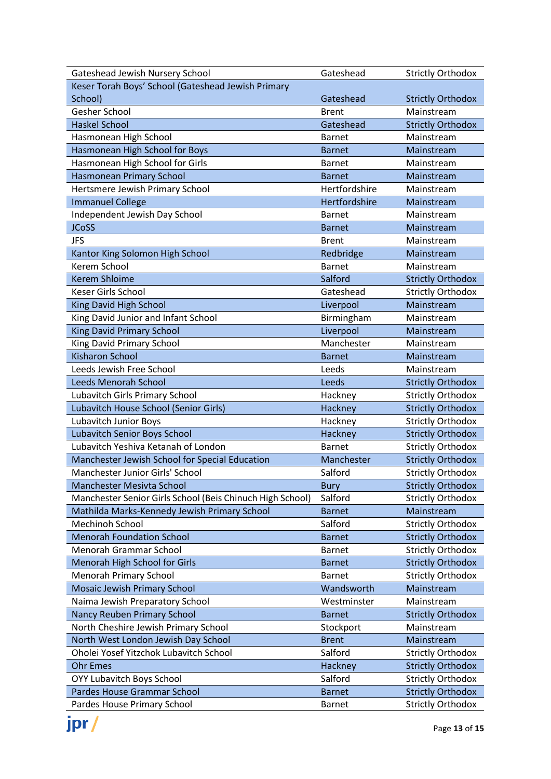| Gateshead Jewish Nursery School                           | Gateshead     | <b>Strictly Orthodox</b> |
|-----------------------------------------------------------|---------------|--------------------------|
| Keser Torah Boys' School (Gateshead Jewish Primary        |               |                          |
| School)                                                   | Gateshead     | <b>Strictly Orthodox</b> |
| Gesher School                                             | <b>Brent</b>  | Mainstream               |
| <b>Haskel School</b>                                      | Gateshead     | <b>Strictly Orthodox</b> |
| Hasmonean High School                                     | <b>Barnet</b> | Mainstream               |
| Hasmonean High School for Boys                            | <b>Barnet</b> | Mainstream               |
| Hasmonean High School for Girls                           | <b>Barnet</b> | Mainstream               |
| <b>Hasmonean Primary School</b>                           | <b>Barnet</b> | Mainstream               |
| Hertsmere Jewish Primary School                           | Hertfordshire | Mainstream               |
| <b>Immanuel College</b>                                   | Hertfordshire | Mainstream               |
| Independent Jewish Day School                             | <b>Barnet</b> | Mainstream               |
| <b>JCoSS</b>                                              | <b>Barnet</b> | Mainstream               |
| <b>JFS</b>                                                | <b>Brent</b>  | Mainstream               |
| Kantor King Solomon High School                           | Redbridge     | Mainstream               |
| Kerem School                                              | <b>Barnet</b> | Mainstream               |
| <b>Kerem Shloime</b>                                      | Salford       | <b>Strictly Orthodox</b> |
| Keser Girls School                                        | Gateshead     | <b>Strictly Orthodox</b> |
| King David High School                                    | Liverpool     | Mainstream               |
| King David Junior and Infant School                       | Birmingham    | Mainstream               |
| <b>King David Primary School</b>                          | Liverpool     | Mainstream               |
| King David Primary School                                 | Manchester    | Mainstream               |
| <b>Kisharon School</b>                                    | <b>Barnet</b> | Mainstream               |
| Leeds Jewish Free School                                  | Leeds         | Mainstream               |
| <b>Leeds Menorah School</b>                               | Leeds         | <b>Strictly Orthodox</b> |
| Lubavitch Girls Primary School                            | Hackney       | <b>Strictly Orthodox</b> |
| Lubavitch House School (Senior Girls)                     | Hackney       | <b>Strictly Orthodox</b> |
| Lubavitch Junior Boys                                     | Hackney       | <b>Strictly Orthodox</b> |
| Lubavitch Senior Boys School                              | Hackney       | <b>Strictly Orthodox</b> |
| Lubavitch Yeshiva Ketanah of London                       | <b>Barnet</b> | <b>Strictly Orthodox</b> |
| Manchester Jewish School for Special Education            | Manchester    | <b>Strictly Orthodox</b> |
| Manchester Junior Girls' School                           | Salford       | <b>Strictly Orthodox</b> |
| <b>Manchester Mesivta School</b>                          | <b>Bury</b>   | <b>Strictly Orthodox</b> |
| Manchester Senior Girls School (Beis Chinuch High School) | Salford       | <b>Strictly Orthodox</b> |
| Mathilda Marks-Kennedy Jewish Primary School              | <b>Barnet</b> | Mainstream               |
| Mechinoh School                                           | Salford       | <b>Strictly Orthodox</b> |
| <b>Menorah Foundation School</b>                          | <b>Barnet</b> | <b>Strictly Orthodox</b> |
| Menorah Grammar School                                    | <b>Barnet</b> | <b>Strictly Orthodox</b> |
| Menorah High School for Girls                             | <b>Barnet</b> | <b>Strictly Orthodox</b> |
| <b>Menorah Primary School</b>                             | <b>Barnet</b> | <b>Strictly Orthodox</b> |
| Mosaic Jewish Primary School                              | Wandsworth    | Mainstream               |
| Naima Jewish Preparatory School                           | Westminster   | Mainstream               |
| Nancy Reuben Primary School                               | <b>Barnet</b> | <b>Strictly Orthodox</b> |
| North Cheshire Jewish Primary School                      | Stockport     | Mainstream               |
| North West London Jewish Day School                       | <b>Brent</b>  | Mainstream               |
| Oholei Yosef Yitzchok Lubavitch School                    | Salford       | <b>Strictly Orthodox</b> |
| <b>Ohr Emes</b>                                           | Hackney       | <b>Strictly Orthodox</b> |
| OYY Lubavitch Boys School                                 | Salford       | <b>Strictly Orthodox</b> |
| Pardes House Grammar School                               | <b>Barnet</b> | <b>Strictly Orthodox</b> |
| Pardes House Primary School                               | <b>Barnet</b> | <b>Strictly Orthodox</b> |

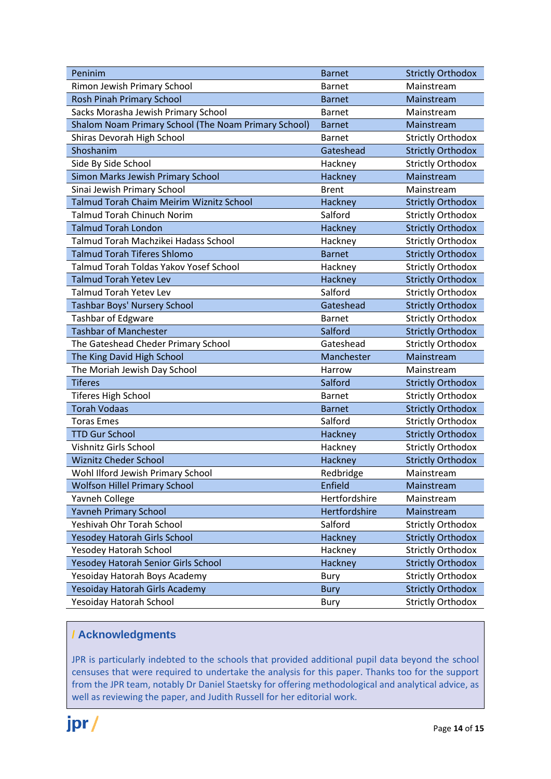| Peninim                                              | <b>Barnet</b> | <b>Strictly Orthodox</b> |
|------------------------------------------------------|---------------|--------------------------|
| Rimon Jewish Primary School                          | <b>Barnet</b> | Mainstream               |
| <b>Rosh Pinah Primary School</b>                     | <b>Barnet</b> | Mainstream               |
| Sacks Morasha Jewish Primary School                  | <b>Barnet</b> | Mainstream               |
| Shalom Noam Primary School (The Noam Primary School) | <b>Barnet</b> | Mainstream               |
| Shiras Devorah High School                           | <b>Barnet</b> | <b>Strictly Orthodox</b> |
| Shoshanim                                            | Gateshead     | <b>Strictly Orthodox</b> |
| Side By Side School                                  | Hackney       | <b>Strictly Orthodox</b> |
| Simon Marks Jewish Primary School                    | Hackney       | Mainstream               |
| Sinai Jewish Primary School                          | <b>Brent</b>  | Mainstream               |
| Talmud Torah Chaim Meirim Wiznitz School             | Hackney       | <b>Strictly Orthodox</b> |
| <b>Talmud Torah Chinuch Norim</b>                    | Salford       | <b>Strictly Orthodox</b> |
| <b>Talmud Torah London</b>                           | Hackney       | <b>Strictly Orthodox</b> |
| Talmud Torah Machzikei Hadass School                 | Hackney       | <b>Strictly Orthodox</b> |
| <b>Talmud Torah Tiferes Shlomo</b>                   | <b>Barnet</b> | <b>Strictly Orthodox</b> |
| Talmud Torah Toldas Yakov Yosef School               | Hackney       | <b>Strictly Orthodox</b> |
| <b>Talmud Torah Yetev Lev</b>                        | Hackney       | <b>Strictly Orthodox</b> |
| Talmud Torah Yetev Lev                               | Salford       | <b>Strictly Orthodox</b> |
| Tashbar Boys' Nursery School                         | Gateshead     | <b>Strictly Orthodox</b> |
| Tashbar of Edgware                                   | <b>Barnet</b> | <b>Strictly Orthodox</b> |
| <b>Tashbar of Manchester</b>                         | Salford       | <b>Strictly Orthodox</b> |
| The Gateshead Cheder Primary School                  | Gateshead     | <b>Strictly Orthodox</b> |
| The King David High School                           | Manchester    | Mainstream               |
| The Moriah Jewish Day School                         | Harrow        | Mainstream               |
| <b>Tiferes</b>                                       | Salford       | <b>Strictly Orthodox</b> |
| <b>Tiferes High School</b>                           | <b>Barnet</b> | <b>Strictly Orthodox</b> |
| <b>Torah Vodaas</b>                                  | <b>Barnet</b> | <b>Strictly Orthodox</b> |
| <b>Toras Emes</b>                                    | Salford       | <b>Strictly Orthodox</b> |
| <b>TTD Gur School</b>                                | Hackney       | <b>Strictly Orthodox</b> |
| Vishnitz Girls School                                | Hackney       | <b>Strictly Orthodox</b> |
| <b>Wiznitz Cheder School</b>                         | Hackney       | <b>Strictly Orthodox</b> |
| Wohl Ilford Jewish Primary School                    | Redbridge     | Mainstream               |
| <b>Wolfson Hillel Primary School</b>                 | Enfield       | Mainstream               |
| <b>Yavneh College</b>                                | Hertfordshire | Mainstream               |
| <b>Yavneh Primary School</b>                         | Hertfordshire | Mainstream               |
| Yeshivah Ohr Torah School                            | Salford       | <b>Strictly Orthodox</b> |
| Yesodey Hatorah Girls School                         | Hackney       | <b>Strictly Orthodox</b> |
| Yesodey Hatorah School                               | Hackney       | <b>Strictly Orthodox</b> |
| Yesodey Hatorah Senior Girls School                  | Hackney       | <b>Strictly Orthodox</b> |
| Yesoiday Hatorah Boys Academy                        | Bury          | <b>Strictly Orthodox</b> |
| Yesoiday Hatorah Girls Academy                       | <b>Bury</b>   | <b>Strictly Orthodox</b> |
| Yesoiday Hatorah School                              | <b>Bury</b>   | <b>Strictly Orthodox</b> |

#### **/ Acknowledgments**

JPR is particularly indebted to the schools that provided additional pupil data beyond the school censuses that were required to undertake the analysis for this paper. Thanks too for the support from the JPR team, notably Dr Daniel Staetsky for offering methodological and analytical advice, as well as reviewing the paper, and Judith Russell for her editorial work.